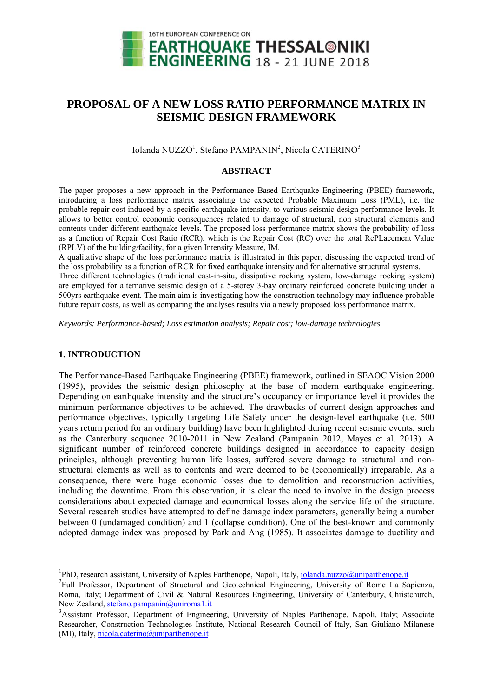

# **PROPOSAL OF A NEW LOSS RATIO PERFORMANCE MATRIX IN SEISMIC DESIGN FRAMEWORK**

Iolanda NUZZO<sup>1</sup>, Stefano PAMPANIN<sup>2</sup>, Nicola CATERINO<sup>3</sup>

## **ABSTRACT**

The paper proposes a new approach in the Performance Based Earthquake Engineering (PBEE) framework, introducing a loss performance matrix associating the expected Probable Maximum Loss (PML), i.e. the probable repair cost induced by a specific earthquake intensity, to various seismic design performance levels. It allows to better control economic consequences related to damage of structural, non structural elements and contents under different earthquake levels. The proposed loss performance matrix shows the probability of loss as a function of Repair Cost Ratio (RCR), which is the Repair Cost (RC) over the total RePLacement Value (RPLV) of the building/facility, for a given Intensity Measure, IM.

A qualitative shape of the loss performance matrix is illustrated in this paper, discussing the expected trend of the loss probability as a function of RCR for fixed earthquake intensity and for alternative structural systems.

Three different technologies (traditional cast-in-situ, dissipative rocking system, low-damage rocking system) are employed for alternative seismic design of a 5-storey 3-bay ordinary reinforced concrete building under a 500yrs earthquake event. The main aim is investigating how the construction technology may influence probable future repair costs, as well as comparing the analyses results via a newly proposed loss performance matrix.

*Keywords: Performance-based; Loss estimation analysis; Repair cost; low-damage technologies* 

# **1. INTRODUCTION**

-

The Performance-Based Earthquake Engineering (PBEE) framework, outlined in SEAOC Vision 2000 (1995), provides the seismic design philosophy at the base of modern earthquake engineering. Depending on earthquake intensity and the structure's occupancy or importance level it provides the minimum performance objectives to be achieved. The drawbacks of current design approaches and performance objectives, typically targeting Life Safety under the design-level earthquake (i.e. 500 years return period for an ordinary building) have been highlighted during recent seismic events, such as the Canterbury sequence 2010-2011 in New Zealand (Pampanin 2012, Mayes et al. 2013). A significant number of reinforced concrete buildings designed in accordance to capacity design principles, although preventing human life losses, suffered severe damage to structural and nonstructural elements as well as to contents and were deemed to be (economically) irreparable. As a consequence, there were huge economic losses due to demolition and reconstruction activities, including the downtime. From this observation, it is clear the need to involve in the design process considerations about expected damage and economical losses along the service life of the structure. Several research studies have attempted to define damage index parameters, generally being a number between 0 (undamaged condition) and 1 (collapse condition). One of the best-known and commonly adopted damage index was proposed by Park and Ang (1985). It associates damage to ductility and

<sup>&</sup>lt;sup>1</sup>PhD, research assistant, University of Naples Parthenope, Napoli, Italy, <u>iolanda.nuzzo@uniparthenope.it</u>  ${}^{2}$ Eull, Brofessor, Deportment of Structural and Costoshnical Engineering. University of Borna La So

<sup>&</sup>lt;sup>2</sup>Full Professor, Department of Structural and Geotechnical Engineering, University of Rome La Sapienza, Roma, Italy; Department of Civil & Natural Resources Engineering, University of Canterbury, Christchurch, New Zealand, stefano.pampanin@uniroma1.it

<sup>&</sup>lt;sup>3</sup> Assistant Professor, Department of Engineering, University of Naples Parthenope, Napoli, Italy; Associate Researcher, Construction Technologies Institute, National Research Council of Italy, San Giuliano Milanese (MI), Italy, nicola.caterino@uniparthenope.it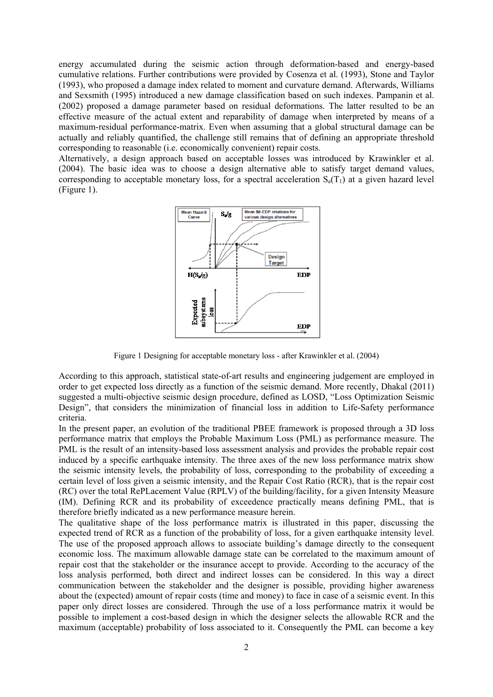energy accumulated during the seismic action through deformation-based and energy-based cumulative relations. Further contributions were provided by Cosenza et al. (1993), Stone and Taylor (1993), who proposed a damage index related to moment and curvature demand. Afterwards, Williams and Sexsmith (1995) introduced a new damage classification based on such indexes. Pampanin et al. (2002) proposed a damage parameter based on residual deformations. The latter resulted to be an effective measure of the actual extent and reparability of damage when interpreted by means of a maximum-residual performance-matrix. Even when assuming that a global structural damage can be actually and reliably quantified, the challenge still remains that of defining an appropriate threshold corresponding to reasonable (i.e. economically convenient) repair costs.

Alternatively, a design approach based on acceptable losses was introduced by Krawinkler et al. (2004). The basic idea was to choose a design alternative able to satisfy target demand values, corresponding to acceptable monetary loss, for a spectral acceleration  $S_a(T_1)$  at a given hazard level (Figure 1).



Figure 1 Designing for acceptable monetary loss - after Krawinkler et al. (2004)

According to this approach, statistical state-of-art results and engineering judgement are employed in order to get expected loss directly as a function of the seismic demand. More recently, Dhakal (2011) suggested a multi-objective seismic design procedure, defined as LOSD, "Loss Optimization Seismic Design", that considers the minimization of financial loss in addition to Life-Safety performance criteria.

In the present paper, an evolution of the traditional PBEE framework is proposed through a 3D loss performance matrix that employs the Probable Maximum Loss (PML) as performance measure. The PML is the result of an intensity-based loss assessment analysis and provides the probable repair cost induced by a specific earthquake intensity. The three axes of the new loss performance matrix show the seismic intensity levels, the probability of loss, corresponding to the probability of exceeding a certain level of loss given a seismic intensity, and the Repair Cost Ratio (RCR), that is the repair cost (RC) over the total RePLacement Value (RPLV) of the building/facility, for a given Intensity Measure (IM). Defining RCR and its probability of exceedence practically means defining PML, that is therefore briefly indicated as a new performance measure herein.

The qualitative shape of the loss performance matrix is illustrated in this paper, discussing the expected trend of RCR as a function of the probability of loss, for a given earthquake intensity level. The use of the proposed approach allows to associate building's damage directly to the consequent economic loss. The maximum allowable damage state can be correlated to the maximum amount of repair cost that the stakeholder or the insurance accept to provide. According to the accuracy of the loss analysis performed, both direct and indirect losses can be considered. In this way a direct communication between the stakeholder and the designer is possible, providing higher awareness about the (expected) amount of repair costs (time and money) to face in case of a seismic event. In this paper only direct losses are considered. Through the use of a loss performance matrix it would be possible to implement a cost-based design in which the designer selects the allowable RCR and the maximum (acceptable) probability of loss associated to it. Consequently the PML can become a key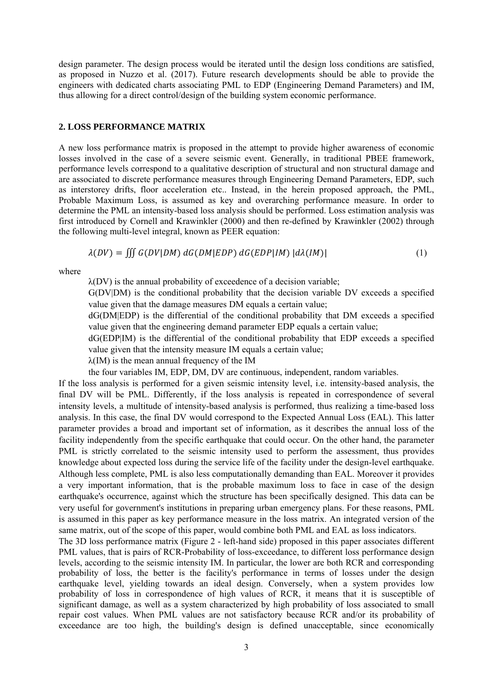design parameter. The design process would be iterated until the design loss conditions are satisfied, as proposed in Nuzzo et al. (2017). Future research developments should be able to provide the engineers with dedicated charts associating PML to EDP (Engineering Demand Parameters) and IM, thus allowing for a direct control/design of the building system economic performance.

## **2. LOSS PERFORMANCE MATRIX**

A new loss performance matrix is proposed in the attempt to provide higher awareness of economic losses involved in the case of a severe seismic event. Generally, in traditional PBEE framework, performance levels correspond to a qualitative description of structural and non structural damage and are associated to discrete performance measures through Engineering Demand Parameters, EDP, such as interstorey drifts, floor acceleration etc.. Instead, in the herein proposed approach, the PML, Probable Maximum Loss, is assumed as key and overarching performance measure. In order to determine the PML an intensity-based loss analysis should be performed. Loss estimation analysis was first introduced by Cornell and Krawinkler (2000) and then re-defined by Krawinkler (2002) through the following multi-level integral, known as PEER equation:

$$
\lambda(DV) = \iiint G(DV|DM) dG(DM|EDP) dG(EDP|IM) |d\lambda(IM)| \tag{1}
$$

where

λ(DV) is the annual probability of exceedence of a decision variable;

G(DV|DM) is the conditional probability that the decision variable DV exceeds a specified value given that the damage measures DM equals a certain value;

dG(DM|EDP) is the differential of the conditional probability that DM exceeds a specified value given that the engineering demand parameter EDP equals a certain value;

dG(EDP|IM) is the differential of the conditional probability that EDP exceeds a specified value given that the intensity measure IM equals a certain value;

λ(IM) is the mean annual frequency of the IM

the four variables IM, EDP, DM, DV are continuous, independent, random variables.

If the loss analysis is performed for a given seismic intensity level, i.e. intensity-based analysis, the final DV will be PML. Differently, if the loss analysis is repeated in correspondence of several intensity levels, a multitude of intensity-based analysis is performed, thus realizing a time-based loss analysis. In this case, the final DV would correspond to the Expected Annual Loss (EAL). This latter parameter provides a broad and important set of information, as it describes the annual loss of the facility independently from the specific earthquake that could occur. On the other hand, the parameter PML is strictly correlated to the seismic intensity used to perform the assessment, thus provides knowledge about expected loss during the service life of the facility under the design-level earthquake. Although less complete, PML is also less computationally demanding than EAL. Moreover it provides a very important information, that is the probable maximum loss to face in case of the design earthquake's occurrence, against which the structure has been specifically designed. This data can be very useful for government's institutions in preparing urban emergency plans. For these reasons, PML is assumed in this paper as key performance measure in the loss matrix. An integrated version of the same matrix, out of the scope of this paper, would combine both PML and EAL as loss indicators.

The 3D loss performance matrix (Figure 2 - left-hand side) proposed in this paper associates different PML values, that is pairs of RCR-Probability of loss-exceedance, to different loss performance design levels, according to the seismic intensity IM. In particular, the lower are both RCR and corresponding probability of loss, the better is the facility's performance in terms of losses under the design earthquake level, yielding towards an ideal design. Conversely, when a system provides low probability of loss in correspondence of high values of RCR, it means that it is susceptible of significant damage, as well as a system characterized by high probability of loss associated to small repair cost values. When PML values are not satisfactory because RCR and/or its probability of exceedance are too high, the building's design is defined unacceptable, since economically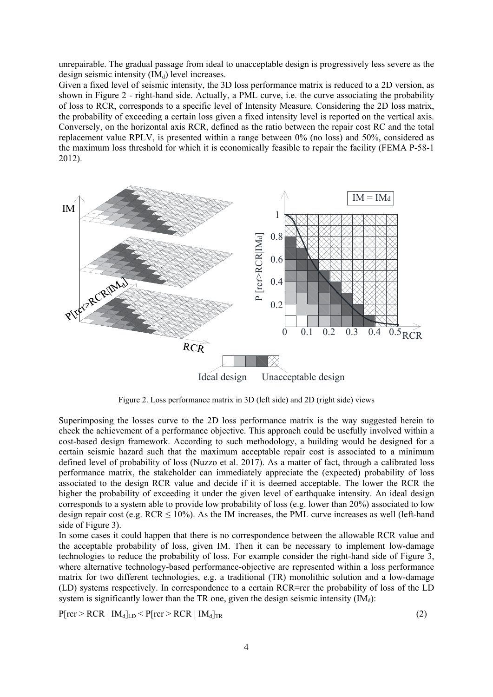unrepairable. The gradual passage from ideal to unacceptable design is progressively less severe as the design seismic intensity  $(IM_d)$  level increases.

Given a fixed level of seismic intensity, the 3D loss performance matrix is reduced to a 2D version, as shown in Figure 2 - right-hand side. Actually, a PML curve, i.e. the curve associating the probability of loss to RCR, corresponds to a specific level of Intensity Measure. Considering the 2D loss matrix, the probability of exceeding a certain loss given a fixed intensity level is reported on the vertical axis. Conversely, on the horizontal axis RCR, defined as the ratio between the repair cost RC and the total replacement value RPLV, is presented within a range between 0% (no loss) and 50%, considered as the maximum loss threshold for which it is economically feasible to repair the facility (FEMA P-58-1 2012).



Figure 2. Loss performance matrix in 3D (left side) and 2D (right side) views

Superimposing the losses curve to the 2D loss performance matrix is the way suggested herein to check the achievement of a performance objective. This approach could be usefully involved within a cost-based design framework. According to such methodology, a building would be designed for a certain seismic hazard such that the maximum acceptable repair cost is associated to a minimum defined level of probability of loss (Nuzzo et al. 2017). As a matter of fact, through a calibrated loss performance matrix, the stakeholder can immediately appreciate the (expected) probability of loss associated to the design RCR value and decide if it is deemed acceptable. The lower the RCR the higher the probability of exceeding it under the given level of earthquake intensity. An ideal design corresponds to a system able to provide low probability of loss (e.g. lower than 20%) associated to low design repair cost (e.g.  $RCR \le 10\%$ ). As the IM increases, the PML curve increases as well (left-hand side of Figure 3).

In some cases it could happen that there is no correspondence between the allowable RCR value and the acceptable probability of loss, given IM. Then it can be necessary to implement low-damage technologies to reduce the probability of loss. For example consider the right-hand side of Figure 3, where alternative technology-based performance-objective are represented within a loss performance matrix for two different technologies, e.g. a traditional (TR) monolithic solution and a low-damage (LD) systems respectively. In correspondence to a certain RCR=rcr the probability of loss of the LD system is significantly lower than the TR one, given the design seismic intensity  $(IM<sub>d</sub>)$ :

 $P[rcr > RCR | IM_d]_{LD} < P[rcr > RCR | IM_d]_{TR}$  (2)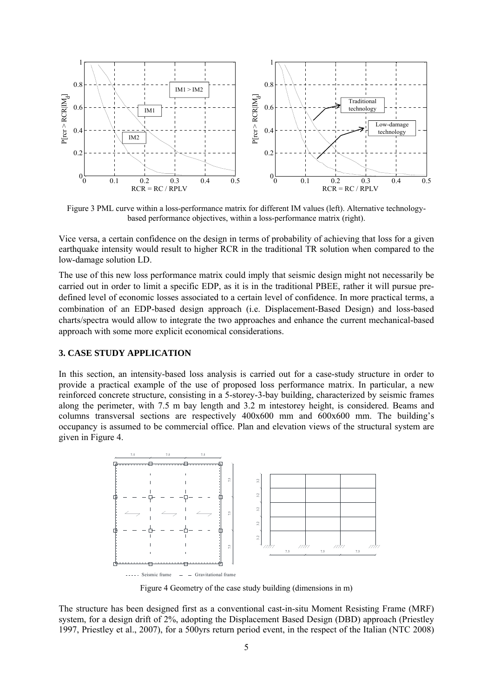

Figure 3 PML curve within a loss-performance matrix for different IM values (left). Alternative technologybased performance objectives, within a loss-performance matrix (right).

Vice versa, a certain confidence on the design in terms of probability of achieving that loss for a given earthquake intensity would result to higher RCR in the traditional TR solution when compared to the low-damage solution LD.

The use of this new loss performance matrix could imply that seismic design might not necessarily be carried out in order to limit a specific EDP, as it is in the traditional PBEE, rather it will pursue predefined level of economic losses associated to a certain level of confidence. In more practical terms, a combination of an EDP-based design approach (i.e. Displacement-Based Design) and loss-based charts/spectra would allow to integrate the two approaches and enhance the current mechanical-based approach with some more explicit economical considerations.

# **3. CASE STUDY APPLICATION**

In this section, an intensity-based loss analysis is carried out for a case-study structure in order to provide a practical example of the use of proposed loss performance matrix. In particular, a new reinforced concrete structure, consisting in a 5-storey-3-bay building, characterized by seismic frames along the perimeter, with 7.5 m bay length and 3.2 m intestorey height, is considered. Beams and columns transversal sections are respectively  $400x600$  mm and  $600x600$  mm. The building's occupancy is assumed to be commercial office. Plan and elevation views of the structural system are given in Figure 4.



Figure 4 Geometry of the case study building (dimensions in m)

The structure has been designed first as a conventional cast-in-situ Moment Resisting Frame (MRF) system, for a design drift of 2%, adopting the Displacement Based Design (DBD) approach (Priestley 1997, Priestley et al., 2007), for a 500yrs return period event, in the respect of the Italian (NTC 2008)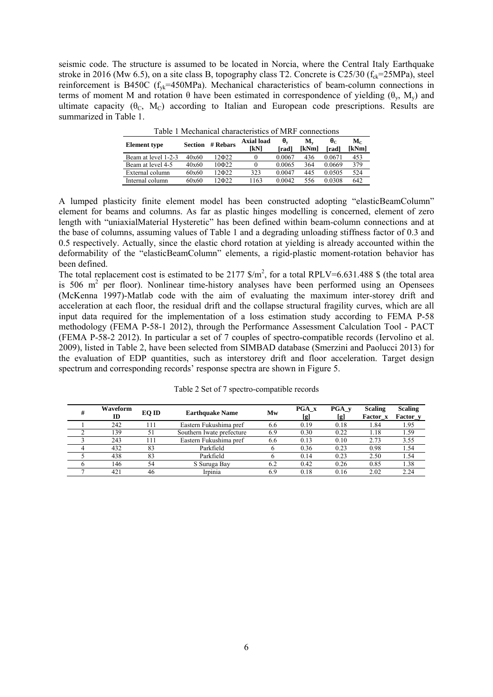seismic code. The structure is assumed to be located in Norcia, where the Central Italy Earthquake stroke in 2016 (Mw 6.5), on a site class B, topography class T2. Concrete is C25/30 ( $f_{ck}$ =25MPa), steel reinforcement is B450C ( $f_{\text{vk}}$ =450MPa). Mechanical characteristics of beam-column connections in terms of moment M and rotation  $\theta$  have been estimated in correspondence of yielding ( $\theta_{v}$ , M<sub>y</sub>) and ultimate capacity  $(\theta_C, M_C)$  according to Italian and European code prescriptions. Results are summarized in Table 1.

| <b>Element</b> type | <b>Section</b> | # Rehars | <b>Axial load</b><br><b>TKNT</b> | θ.<br>[rad] | M.<br>[kNm] | $\theta_{\rm C}$<br>[rad] | $\mathbf{M}_{\mathbf{C}}$<br>[kNm] |
|---------------------|----------------|----------|----------------------------------|-------------|-------------|---------------------------|------------------------------------|
| Beam at level 1-2-3 | 40x60          | 12Ф22    | 0                                | 0.0067      | 436         | 0.0671                    | 453                                |
| Beam at level 4-5   | 40x60          | 10Ф22    |                                  | 0.0065      | 364         | 0.0669                    | 379                                |
| External column     | 60x60          | 12Ф22    | 323                              | 0.0047      | 445         | 0.0505                    | 524                                |
| Internal column     | 60x60          | 12Ф22    | 1163                             | 0.0042      | 556         | 0 0308                    | 642                                |

Table 1 Mechanical characteristics of MRF connections

A lumped plasticity finite element model has been constructed adopting "elasticBeamColumn" element for beams and columns. As far as plastic hinges modelling is concerned, element of zero length with "uniaxialMaterial Hysteretic" has been defined within beam-column connections and at the base of columns, assuming values of Table 1 and a degrading unloading stiffness factor of 0.3 and 0.5 respectively. Actually, since the elastic chord rotation at yielding is already accounted within the deformability of the "elasticBeamColumn" elements, a rigid-plastic moment-rotation behavior has been defined.

The total replacement cost is estimated to be  $2177 \text{ }\frac{\text{m}}{\text{s}}$  for a total RPLV=6.631.488 \$ (the total area is 506  $m^2$  per floor). Nonlinear time-history analyses have been performed using an Opensees (McKenna 1997)-Matlab code with the aim of evaluating the maximum inter-storey drift and acceleration at each floor, the residual drift and the collapse structural fragility curves, which are all input data required for the implementation of a loss estimation study according to FEMA P-58 methodology (FEMA P-58-1 2012), through the Performance Assessment Calculation Tool - PACT (FEMA P-58-2 2012). In particular a set of 7 couples of spectro-compatible records (Iervolino et al. 2009), listed in Table 2, have been selected from SIMBAD database (Smerzini and Paolucci 2013) for the evaluation of EDP quantities, such as interstorey drift and floor acceleration. Target design spectrum and corresponding records' response spectra are shown in Figure 5.

| #              | Waveform<br>ID | EO ID | <b>Earthquake Name</b>    | Mw  | <b>PGA</b> x<br>[g] | PGA v<br>[g] | <b>Scaling</b><br>Factor x | <b>Scaling</b><br>Factor_y |
|----------------|----------------|-------|---------------------------|-----|---------------------|--------------|----------------------------|----------------------------|
|                | 242            | :11   | Eastern Fukushima pref    | 6.6 | 0.19                | 0.18         | 1.84                       | 1.95                       |
|                | 139            | 51    | Southern Iwate prefecture | 6.9 | 0.30                | 0.22         | 1.18                       | 1.59                       |
|                | 243            | 11    | Eastern Fukushima pref    | 6.6 | 0.13                | 0.10         | 2.73                       | 3.55                       |
| $\overline{4}$ | 432            | 83    | Parkfield                 |     | 0.36                | 0.23         | 0.98                       | 1.54                       |
|                | 438            | 83    | Parkfield                 |     | 0.14                | 0.23         | 2.50                       | 1.54                       |
|                | 146            | 54    | S Suruga Bay              | 6.2 | 0.42                | 0.26         | 0.85                       | 1.38                       |
|                | 421            | 46    | Irpinia                   | 6.9 | 0.18                | 0.16         | 2.02                       | 2.24                       |

Table 2 Set of 7 spectro-compatible records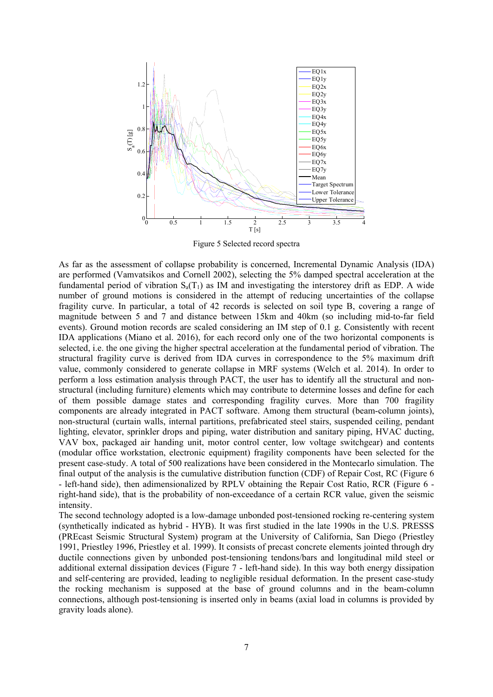

Figure 5 Selected record spectra

As far as the assessment of collapse probability is concerned, Incremental Dynamic Analysis (IDA) are performed (Vamvatsikos and Cornell 2002), selecting the 5% damped spectral acceleration at the fundamental period of vibration  $S_a(T_1)$  as IM and investigating the interstorey drift as EDP. A wide number of ground motions is considered in the attempt of reducing uncertainties of the collapse fragility curve. In particular, a total of 42 records is selected on soil type B, covering a range of magnitude between 5 and 7 and distance between 15km and 40km (so including mid-to-far field events). Ground motion records are scaled considering an IM step of 0.1 g. Consistently with recent IDA applications (Miano et al. 2016), for each record only one of the two horizontal components is selected, i.e. the one giving the higher spectral acceleration at the fundamental period of vibration. The structural fragility curve is derived from IDA curves in correspondence to the 5% maximum drift value, commonly considered to generate collapse in MRF systems (Welch et al. 2014). In order to perform a loss estimation analysis through PACT, the user has to identify all the structural and nonstructural (including furniture) elements which may contribute to determine losses and define for each of them possible damage states and corresponding fragility curves. More than 700 fragility components are already integrated in PACT software. Among them structural (beam-column joints), non-structural (curtain walls, internal partitions, prefabricated steel stairs, suspended ceiling, pendant lighting, elevator, sprinkler drops and piping, water distribution and sanitary piping, HVAC ducting, VAV box, packaged air handing unit, motor control center, low voltage switchgear) and contents (modular office workstation, electronic equipment) fragility components have been selected for the present case-study. A total of 500 realizations have been considered in the Montecarlo simulation. The final output of the analysis is the cumulative distribution function (CDF) of Repair Cost, RC (Figure 6 - left-hand side), then adimensionalized by RPLV obtaining the Repair Cost Ratio, RCR (Figure 6 right-hand side), that is the probability of non-exceedance of a certain RCR value, given the seismic intensity.

The second technology adopted is a low-damage unbonded post-tensioned rocking re-centering system (synthetically indicated as hybrid - HYB). It was first studied in the late 1990s in the U.S. PRESSS (PREcast Seismic Structural System) program at the University of California, San Diego (Priestley 1991, Priestley 1996, Priestley et al. 1999). It consists of precast concrete elements jointed through dry ductile connections given by unbonded post-tensioning tendons/bars and longitudinal mild steel or additional external dissipation devices (Figure 7 - left-hand side). In this way both energy dissipation and self-centering are provided, leading to negligible residual deformation. In the present case-study the rocking mechanism is supposed at the base of ground columns and in the beam-column connections, although post-tensioning is inserted only in beams (axial load in columns is provided by gravity loads alone).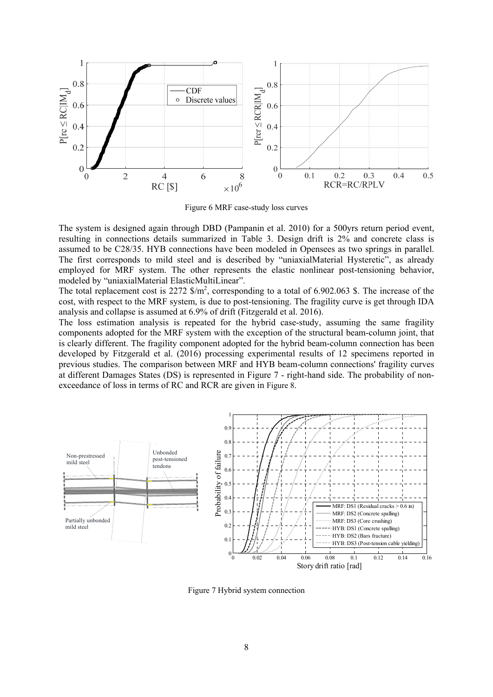

Figure 6 MRF case-study loss curves

The system is designed again through DBD (Pampanin et al. 2010) for a 500yrs return period event, resulting in connections details summarized in Table 3. Design drift is 2% and concrete class is assumed to be C28/35. HYB connections have been modeled in Opensees as two springs in parallel. The first corresponds to mild steel and is described by "uniaxialMaterial Hysteretic", as already employed for MRF system. The other represents the elastic nonlinear post-tensioning behavior, modeled by "uniaxialMaterial ElasticMultiLinear".

The total replacement cost is 2272  $\frac{m^2}{2}$ , corresponding to a total of 6.902.063 \$. The increase of the cost, with respect to the MRF system, is due to post-tensioning. The fragility curve is get through IDA analysis and collapse is assumed at 6.9% of drift (Fitzgerald et al. 2016).

The loss estimation analysis is repeated for the hybrid case-study, assuming the same fragility components adopted for the MRF system with the exception of the structural beam-column joint, that is clearly different. The fragility component adopted for the hybrid beam-column connection has been developed by Fitzgerald et al. (2016) processing experimental results of 12 specimens reported in previous studies. The comparison between MRF and HYB beam-column connections' fragility curves at different Damages States (DS) is represented in Figure 7 - right-hand side. The probability of nonexceedance of loss in terms of RC and RCR are given in Figure 8.



Figure 7 Hybrid system connection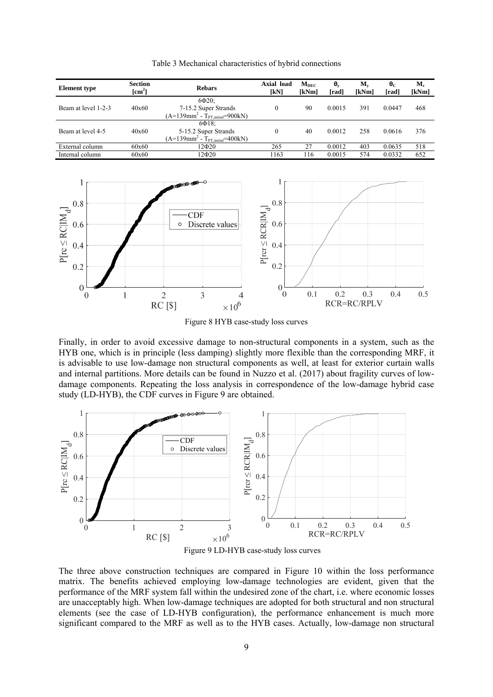| <b>Section</b><br><b>Element</b> type<br>$\lceil$ cm <sup>2</sup> $\rceil$ |       | <b>Rebars</b>                                                                                     | Axial load<br>[KN] | $M_{DEC}$<br>[kNm] | $\theta_{\rm v}$<br>[rad] | $\mathbf{M}_{\mathbf{v}}$<br>[kNm] | $\theta_{\rm C}$<br>[rad] | $M_c$<br>[kNm] |
|----------------------------------------------------------------------------|-------|---------------------------------------------------------------------------------------------------|--------------------|--------------------|---------------------------|------------------------------------|---------------------------|----------------|
| Beam at level 1-2-3                                                        | 40x60 | $6\Phi20$ :<br>7-15.2 Super Strands<br>$(A=139$ mm <sup>2</sup> - T <sub>PT initial</sub> =900kN) | $\theta$           | 90                 | 0.0015                    | 391                                | 0.0447                    | 468            |
| Beam at level 4-5                                                          | 40x60 | $6\Phi$ 18:<br>5-15.2 Super Strands<br>$(A=139$ mm <sup>2</sup> - T <sub>PT initial</sub> =400kN) | $\theta$           | 40                 | 0.0012                    | 258                                | 0.0616                    | 376            |
| External column                                                            | 60x60 | 12Ф20                                                                                             | 265                | 27                 | 0.0012                    | 403                                | 0.0635                    | 518            |
| Internal column                                                            | 60x60 | 12Ф20                                                                                             | 163                | 116                | 0.0015                    | 574                                | 0.0332                    | 652            |

Table 3 Mechanical characteristics of hybrid connections



Figure 8 HYB case-study loss curves

Finally, in order to avoid excessive damage to non-structural components in a system, such as the HYB one, which is in principle (less damping) slightly more flexible than the corresponding MRF, it is advisable to use low-damage non structural components as well, at least for exterior curtain walls and internal partitions. More details can be found in Nuzzo et al. (2017) about fragility curves of lowdamage components. Repeating the loss analysis in correspondence of the low-damage hybrid case study (LD-HYB), the CDF curves in Figure 9 are obtained.



Figure 9 LD-HYB case-study loss curves

The three above construction techniques are compared in Figure 10 within the loss performance matrix. The benefits achieved employing low-damage technologies are evident, given that the performance of the MRF system fall within the undesired zone of the chart, i.e. where economic losses are unacceptably high. When low-damage techniques are adopted for both structural and non structural elements (see the case of LD-HYB configuration), the performance enhancement is much more significant compared to the MRF as well as to the HYB cases. Actually, low-damage non structural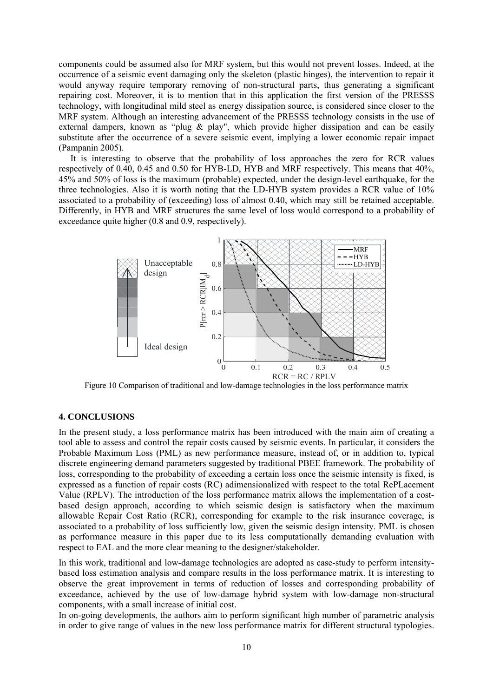components could be assumed also for MRF system, but this would not prevent losses. Indeed, at the occurrence of a seismic event damaging only the skeleton (plastic hinges), the intervention to repair it would anyway require temporary removing of non-structural parts, thus generating a significant repairing cost. Moreover, it is to mention that in this application the first version of the PRESSS technology, with longitudinal mild steel as energy dissipation source, is considered since closer to the MRF system. Although an interesting advancement of the PRESSS technology consists in the use of external dampers, known as "plug  $\&$  play", which provide higher dissipation and can be easily substitute after the occurrence of a severe seismic event, implying a lower economic repair impact (Pampanin 2005).

It is interesting to observe that the probability of loss approaches the zero for RCR values respectively of 0.40, 0.45 and 0.50 for HYB-LD, HYB and MRF respectively. This means that 40%, 45% and 50% of loss is the maximum (probable) expected, under the design-level earthquake, for the three technologies. Also it is worth noting that the LD-HYB system provides a RCR value of 10% associated to a probability of (exceeding) loss of almost 0.40, which may still be retained acceptable. Differently, in HYB and MRF structures the same level of loss would correspond to a probability of exceedance quite higher (0.8 and 0.9, respectively).



Figure 10 Comparison of traditional and low-damage technologies in the loss performance matrix

## **4. CONCLUSIONS**

In the present study, a loss performance matrix has been introduced with the main aim of creating a tool able to assess and control the repair costs caused by seismic events. In particular, it considers the Probable Maximum Loss (PML) as new performance measure, instead of, or in addition to, typical discrete engineering demand parameters suggested by traditional PBEE framework. The probability of loss, corresponding to the probability of exceeding a certain loss once the seismic intensity is fixed, is expressed as a function of repair costs (RC) adimensionalized with respect to the total RePLacement Value (RPLV). The introduction of the loss performance matrix allows the implementation of a costbased design approach, according to which seismic design is satisfactory when the maximum allowable Repair Cost Ratio (RCR), corresponding for example to the risk insurance coverage, is associated to a probability of loss sufficiently low, given the seismic design intensity. PML is chosen as performance measure in this paper due to its less computationally demanding evaluation with respect to EAL and the more clear meaning to the designer/stakeholder.

In this work, traditional and low-damage technologies are adopted as case-study to perform intensitybased loss estimation analysis and compare results in the loss performance matrix. It is interesting to observe the great improvement in terms of reduction of losses and corresponding probability of exceedance, achieved by the use of low-damage hybrid system with low-damage non-structural components, with a small increase of initial cost.

In on-going developments, the authors aim to perform significant high number of parametric analysis in order to give range of values in the new loss performance matrix for different structural typologies.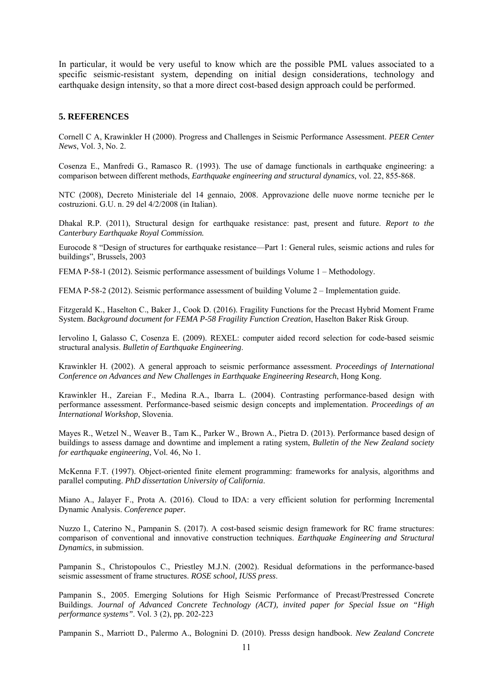In particular, it would be very useful to know which are the possible PML values associated to a specific seismic-resistant system, depending on initial design considerations, technology and earthquake design intensity, so that a more direct cost-based design approach could be performed.

#### **5. REFERENCES**

Cornell C A, Krawinkler H (2000). Progress and Challenges in Seismic Performance Assessment. *PEER Center News*, Vol. 3, No. 2.

Cosenza E., Manfredi G., Ramasco R. (1993). The use of damage functionals in earthquake engineering: a comparison between different methods, *Earthquake engineering and structural dynamics*, vol. 22, 855-868.

NTC (2008), Decreto Ministeriale del 14 gennaio, 2008. Approvazione delle nuove norme tecniche per le costruzioni. G.U. n. 29 del 4/2/2008 (in Italian).

Dhakal R.P. (2011), Structural design for earthquake resistance: past, present and future. *Report to the Canterbury Earthquake Royal Commission.*

Eurocode 8 "Design of structures for earthquake resistance—Part 1: General rules, seismic actions and rules for buildings", Brussels, 2003

FEMA P-58-1 (2012). Seismic performance assessment of buildings Volume 1 – Methodology.

FEMA P-58-2 (2012). Seismic performance assessment of building Volume 2 – Implementation guide.

Fitzgerald K., Haselton C., Baker J., Cook D. (2016). Fragility Functions for the Precast Hybrid Moment Frame System. *Background document for FEMA P-58 Fragility Function Creation*, Haselton Baker Risk Group.

Iervolino I, Galasso C, Cosenza E. (2009). REXEL: computer aided record selection for code-based seismic structural analysis. *Bulletin of Earthquake Engineering*.

Krawinkler H. (2002). A general approach to seismic performance assessment. *Proceedings of International Conference on Advances and New Challenges in Earthquake Engineering Research*, Hong Kong.

Krawinkler H., Zareian F., Medina R.A., Ibarra L. (2004). Contrasting performance-based design with performance assessment. Performance-based seismic design concepts and implementation. *Proceedings of an International Workshop*, Slovenia.

Mayes R., Wetzel N., Weaver B., Tam K., Parker W., Brown A., Pietra D. (2013). Performance based design of buildings to assess damage and downtime and implement a rating system, *Bulletin of the New Zealand society for earthquake engineering*, Vol. 46, No 1.

McKenna F.T. (1997). Object-oriented finite element programming: frameworks for analysis, algorithms and parallel computing. *PhD dissertation University of California*.

Miano A., Jalayer F., Prota A. (2016). Cloud to IDA: a very efficient solution for performing Incremental Dynamic Analysis. *Conference paper.* 

Nuzzo I., Caterino N., Pampanin S. (2017). A cost-based seismic design framework for RC frame structures: comparison of conventional and innovative construction techniques. *Earthquake Engineering and Structural Dynamics*, in submission.

Pampanin S., Christopoulos C., Priestley M.J.N. (2002). Residual deformations in the performance-based seismic assessment of frame structures. *ROSE school, IUSS press*.

Pampanin S., 2005. Emerging Solutions for High Seismic Performance of Precast/Prestressed Concrete Buildings. *Journal of Advanced Concrete Technology (ACT), invited paper for Special Issue on "High performance systems"*. Vol. 3 (2), pp. 202-223

Pampanin S., Marriott D., Palermo A., Bolognini D. (2010). Presss design handbook. *New Zealand Concrete*